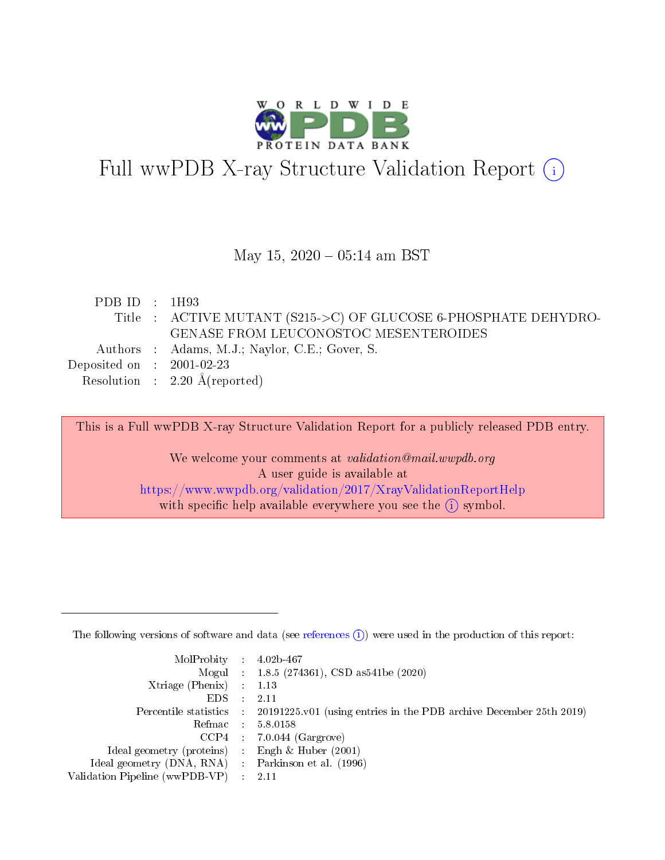

# Full wwPDB X-ray Structure Validation Report (i)

#### May 15,  $2020 - 05:14$  am BST

| PDB ID : $1H93$                      |                                                                 |
|--------------------------------------|-----------------------------------------------------------------|
|                                      | Title : ACTIVE MUTANT (S215->C) OF GLUCOSE 6-PHOSPHATE DEHYDRO- |
|                                      | GENASE FROM LEUCONOSTOC MESENTEROIDES                           |
|                                      | Authors : Adams, M.J.; Naylor, C.E.; Gover, S.                  |
| Deposited on $\therefore$ 2001-02-23 |                                                                 |
|                                      | Resolution : $2.20 \text{ Å}$ (reported)                        |

This is a Full wwPDB X-ray Structure Validation Report for a publicly released PDB entry.

We welcome your comments at validation@mail.wwpdb.org A user guide is available at <https://www.wwpdb.org/validation/2017/XrayValidationReportHelp> with specific help available everywhere you see the  $(i)$  symbol.

The following versions of software and data (see [references](https://www.wwpdb.org/validation/2017/XrayValidationReportHelp#references)  $(1)$ ) were used in the production of this report:

| $MolProbability$ : 4.02b-467                      |                              |                                                                                            |
|---------------------------------------------------|------------------------------|--------------------------------------------------------------------------------------------|
|                                                   |                              | Mogul : $1.8.5$ (274361), CSD as 541be (2020)                                              |
| Xtriage (Phenix) $: 1.13$                         |                              |                                                                                            |
| EDS –                                             | $\sim$                       | -2.11                                                                                      |
|                                                   |                              | Percentile statistics : 20191225.v01 (using entries in the PDB archive December 25th 2019) |
| Refmac : 5.8.0158                                 |                              |                                                                                            |
| CCP4                                              |                              | $7.0.044$ (Gargrove)                                                                       |
| Ideal geometry (proteins)                         | $\mathcal{L}_{\mathrm{eff}}$ | Engh & Huber $(2001)$                                                                      |
| Ideal geometry (DNA, RNA) Parkinson et al. (1996) |                              |                                                                                            |
| Validation Pipeline (wwPDB-VP) : 2.11             |                              |                                                                                            |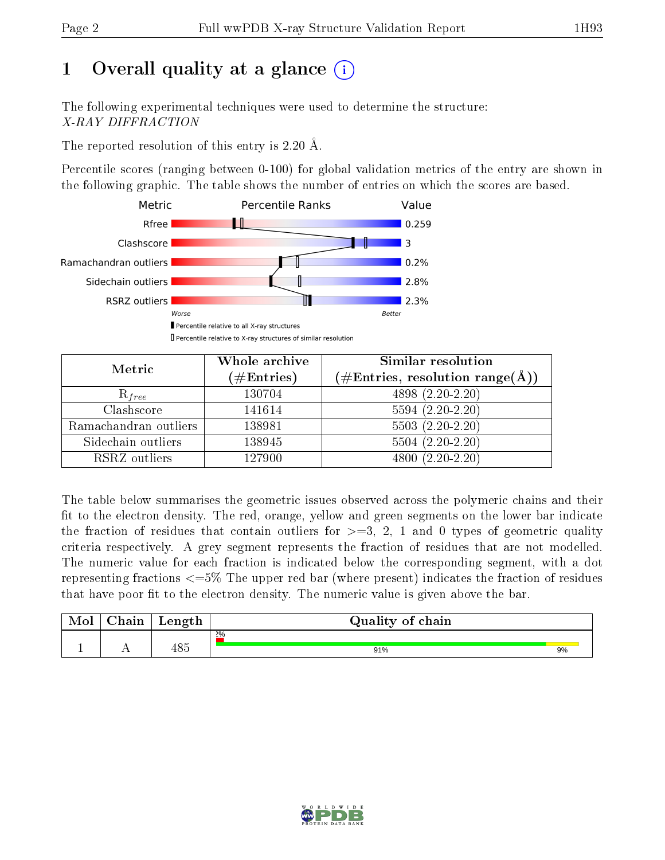## 1 [O](https://www.wwpdb.org/validation/2017/XrayValidationReportHelp#overall_quality)verall quality at a glance  $(i)$

The following experimental techniques were used to determine the structure: X-RAY DIFFRACTION

The reported resolution of this entry is 2.20 Å.

Percentile scores (ranging between 0-100) for global validation metrics of the entry are shown in the following graphic. The table shows the number of entries on which the scores are based.



| Metric                | Whole archive<br>$(\#\mathrm{Entries})$ | Similar resolution<br>$(\#\text{Entries},\,\text{resolution}\,\,\text{range}(\textup{\AA}))$ |  |  |
|-----------------------|-----------------------------------------|----------------------------------------------------------------------------------------------|--|--|
| $R_{free}$            | 130704                                  | $4898(2.20-2.20)$                                                                            |  |  |
| Clashscore            | 141614                                  | $5594(2.20-2.20)$                                                                            |  |  |
| Ramachandran outliers | 138981                                  | $5503(2.20-2.20)$                                                                            |  |  |
| Sidechain outliers    | 138945                                  | $5504(2.20-2.20)$                                                                            |  |  |
| RSRZ outliers         | 127900                                  | $4800(2.20-2.20)$                                                                            |  |  |

The table below summarises the geometric issues observed across the polymeric chains and their fit to the electron density. The red, orange, yellow and green segments on the lower bar indicate the fraction of residues that contain outliers for  $>=3, 2, 1$  and 0 types of geometric quality criteria respectively. A grey segment represents the fraction of residues that are not modelled. The numeric value for each fraction is indicated below the corresponding segment, with a dot representing fractions  $\epsilon=5\%$  The upper red bar (where present) indicates the fraction of residues that have poor fit to the electron density. The numeric value is given above the bar.

| Mol | $\cap$ hain | Length | Quality of chain |    |
|-----|-------------|--------|------------------|----|
|     |             |        | 2%               |    |
|     |             | 485    | 91%              | 9% |

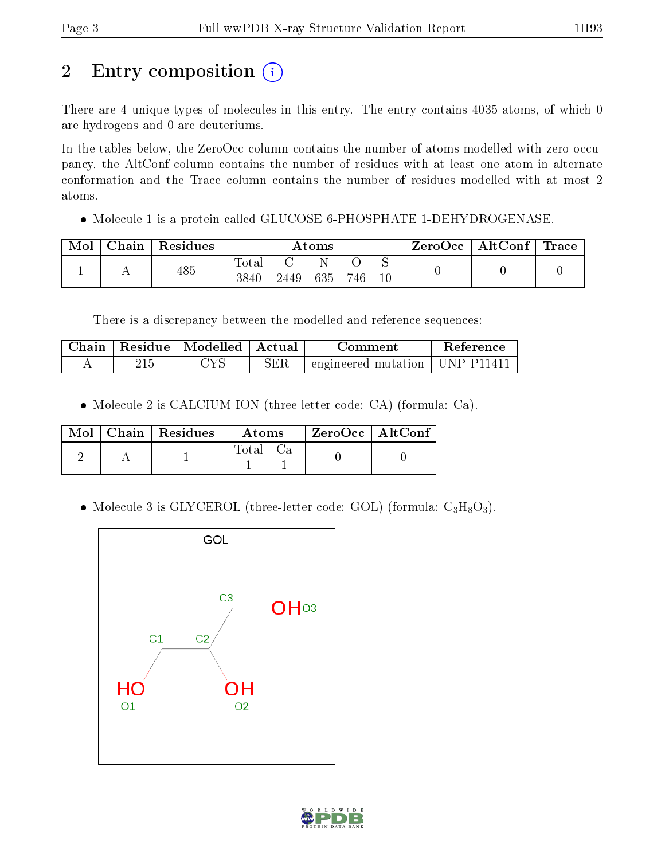## 2 Entry composition (i)

There are 4 unique types of molecules in this entry. The entry contains 4035 atoms, of which 0 are hydrogens and 0 are deuteriums.

In the tables below, the ZeroOcc column contains the number of atoms modelled with zero occupancy, the AltConf column contains the number of residues with at least one atom in alternate conformation and the Trace column contains the number of residues modelled with at most 2 atoms.

Molecule 1 is a protein called GLUCOSE 6-PHOSPHATE 1-DEHYDROGENASE.

| Mol | Chain | $\vert$ Residues | Atoms                  |      |     |     |  | $\text{ZeroOcc} \mid \text{AltConf} \mid \text{Trace}$ |  |
|-----|-------|------------------|------------------------|------|-----|-----|--|--------------------------------------------------------|--|
|     |       | 485              | $_{\rm Total}$<br>3840 | 2449 | 635 | 746 |  |                                                        |  |

There is a discrepancy between the modelled and reference sequences:

| Chain | Residue   Modelled   Actual |     | Comment                                     | Reference |
|-------|-----------------------------|-----|---------------------------------------------|-----------|
|       | 'YS                         | SER | $\pm$ engineered mutation $\pm$ UNP P11411. |           |

Molecule 2 is CALCIUM ION (three-letter code: CA) (formula: Ca).

|  | $Mol$   Chain   Residues | Atoms   | $ZeroOcc$   AltConf |  |
|--|--------------------------|---------|---------------------|--|
|  |                          | - fotal |                     |  |

• Molecule 3 is GLYCEROL (three-letter code: GOL) (formula:  $C_3H_8O_3$ ).



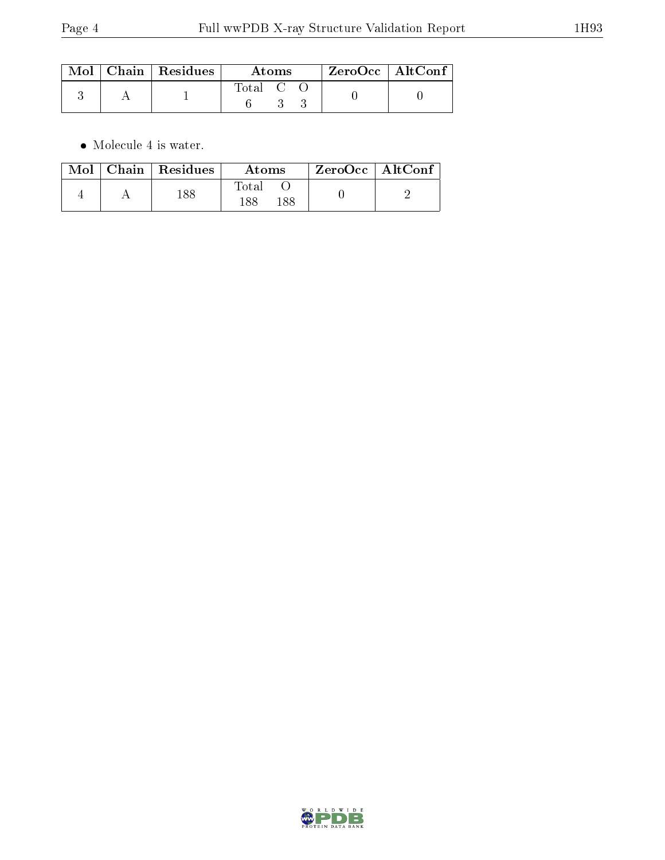|  | $\text{Mol}$   Chain   Residues  <br>Atoms |         |  | $ZeroOcc \mid AltConf \mid$ |  |  |
|--|--------------------------------------------|---------|--|-----------------------------|--|--|
|  |                                            | Total C |  |                             |  |  |

 $\bullet\,$  Molecule 4 is water.

|  | $\text{Mol}$   Chain   Residues | Atoms               | $\rm ZeroOcc \mid AltConf$ |  |
|--|---------------------------------|---------------------|----------------------------|--|
|  | 188                             | Total<br>188<br>188 |                            |  |

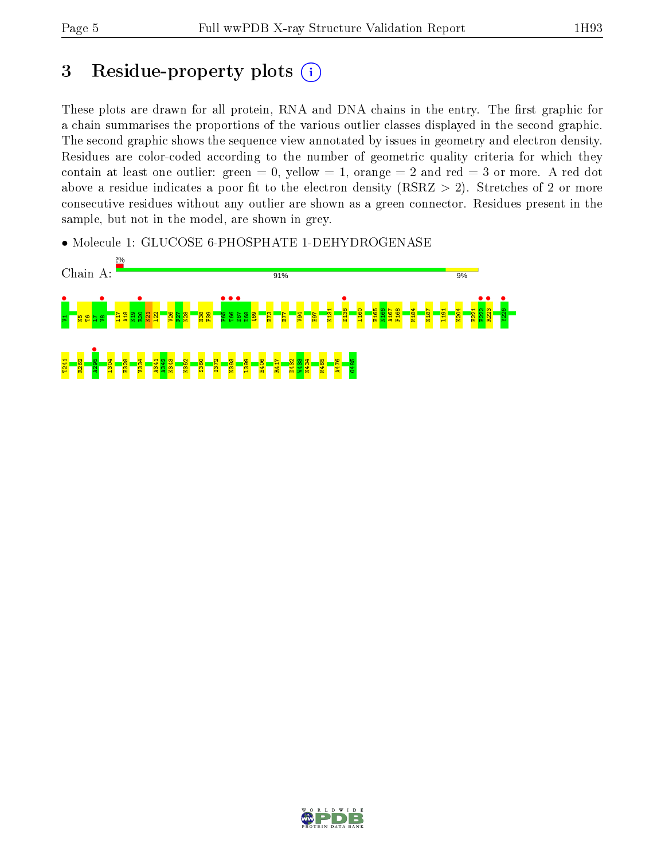## 3 Residue-property plots  $(i)$

These plots are drawn for all protein, RNA and DNA chains in the entry. The first graphic for a chain summarises the proportions of the various outlier classes displayed in the second graphic. The second graphic shows the sequence view annotated by issues in geometry and electron density. Residues are color-coded according to the number of geometric quality criteria for which they contain at least one outlier: green  $= 0$ , yellow  $= 1$ , orange  $= 2$  and red  $= 3$  or more. A red dot above a residue indicates a poor fit to the electron density (RSRZ  $> 2$ ). Stretches of 2 or more consecutive residues without any outlier are shown as a green connector. Residues present in the sample, but not in the model, are shown in grey.

• Molecule 1: GLUCOSE 6-PHOSPHATE 1-DEHYDROGENASE



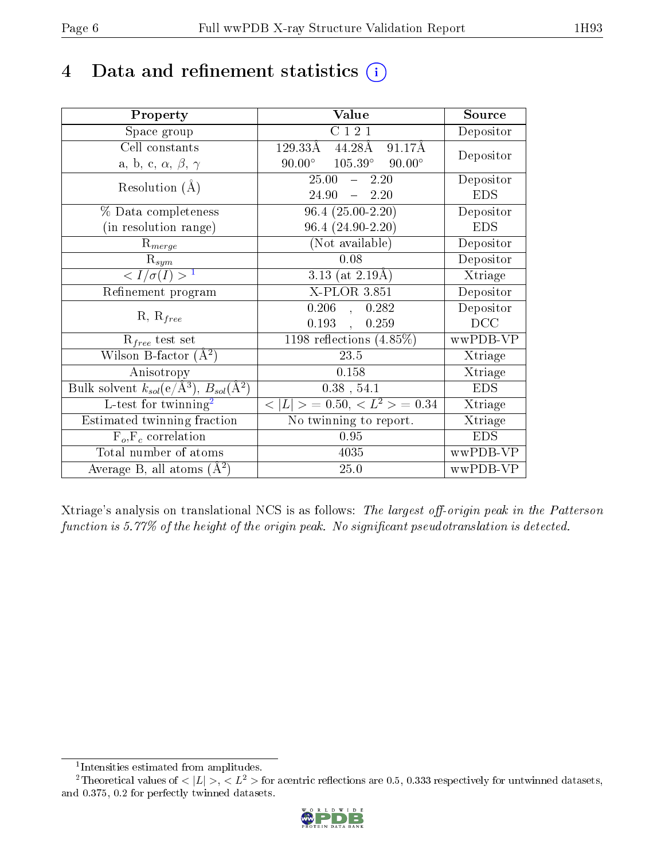## 4 Data and refinement statistics  $(i)$

| Property                                                                | Value                                              | Source     |
|-------------------------------------------------------------------------|----------------------------------------------------|------------|
| Space group                                                             | C121                                               | Depositor  |
| Cell constants                                                          | $129.33\text{\AA}$<br>91.17Å<br>44.28Å             |            |
| a, b, c, $\alpha$ , $\beta$ , $\gamma$                                  | $105.39^\circ$<br>$90.00^\circ$<br>$90.00^{\circ}$ | Depositor  |
| Resolution $(A)$                                                        | $25.00 - 2.20$                                     | Depositor  |
|                                                                         | $-2.20$<br>24.90                                   | <b>EDS</b> |
| % Data completeness                                                     | $96.4(25.00-2.20)$                                 | Depositor  |
| (in resolution range)                                                   | $96.4(24.90-2.20)$                                 | <b>EDS</b> |
| $R_{merge}$                                                             | (Not available)                                    | Depositor  |
| $\mathrm{R}_{sym}$                                                      | 0.08                                               | Depositor  |
| $\langle I/\sigma(I) \rangle^{-1}$                                      | 3.13 (at $2.19\text{\AA}$ )                        | Xtriage    |
| Refinement program                                                      | X-PLOR 3.851                                       | Depositor  |
|                                                                         | $0.206$ ,<br>0.282                                 | Depositor  |
| $R, R_{free}$                                                           | 0.193,<br>0.259                                    | DCC        |
| $\mathcal{R}_{free}$ test set                                           | $1198$ reflections $(4.85\%)$                      | wwPDB-VP   |
| Wilson B-factor $(A^2)$                                                 | 23.5                                               | Xtriage    |
| Anisotropy                                                              | 0.158                                              | Xtriage    |
| Bulk solvent $k_{sol}(\mathrm{e}/\mathrm{A}^3),\,B_{sol}(\mathrm{A}^2)$ | $0.38$ , 54.1                                      | <b>EDS</b> |
| L-test for twinning <sup>2</sup>                                        | $< L >$ = 0.50, $< L^2 >$ = 0.34                   | Xtriage    |
| Estimated twinning fraction                                             | No twinning to report.                             | Xtriage    |
| $F_o, F_c$ correlation                                                  | 0.95                                               | <b>EDS</b> |
| Total number of atoms                                                   | 4035                                               | wwPDB-VP   |
| Average B, all atoms $(A^2)$                                            | $25.0\,$                                           | wwPDB-VP   |

Xtriage's analysis on translational NCS is as follows: The largest off-origin peak in the Patterson function is  $5.77\%$  of the height of the origin peak. No significant pseudotranslation is detected.

<sup>&</sup>lt;sup>2</sup>Theoretical values of  $\langle |L| \rangle$ ,  $\langle L^2 \rangle$  for acentric reflections are 0.5, 0.333 respectively for untwinned datasets, and 0.375, 0.2 for perfectly twinned datasets.



<span id="page-5-1"></span><span id="page-5-0"></span><sup>1</sup> Intensities estimated from amplitudes.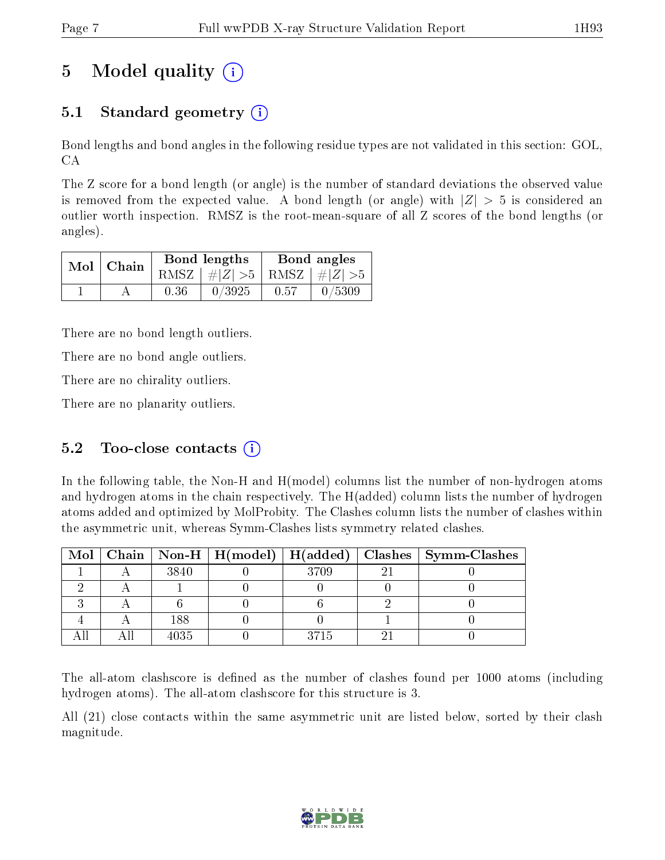## 5 Model quality  $(i)$

### 5.1 Standard geometry  $\overline{()}$

Bond lengths and bond angles in the following residue types are not validated in this section: GOL, CA

The Z score for a bond length (or angle) is the number of standard deviations the observed value is removed from the expected value. A bond length (or angle) with  $|Z| > 5$  is considered an outlier worth inspection. RMSZ is the root-mean-square of all Z scores of the bond lengths (or angles).

|  | $Mol$   Chain |      | Bond lengths                    | Bond angles |        |  |
|--|---------------|------|---------------------------------|-------------|--------|--|
|  |               |      | RMSZ $ #Z  > 5$ RMSZ $ #Z  > 5$ |             |        |  |
|  |               | 0.36 | 0/3925                          | 0.57        | 0/5309 |  |

There are no bond length outliers.

There are no bond angle outliers.

There are no chirality outliers.

There are no planarity outliers.

#### 5.2 Too-close contacts  $(i)$

In the following table, the Non-H and H(model) columns list the number of non-hydrogen atoms and hydrogen atoms in the chain respectively. The H(added) column lists the number of hydrogen atoms added and optimized by MolProbity. The Clashes column lists the number of clashes within the asymmetric unit, whereas Symm-Clashes lists symmetry related clashes.

|  |      |      | Mol   Chain   Non-H   H(model)   H(added)   Clashes   Symm-Clashes |
|--|------|------|--------------------------------------------------------------------|
|  | 3840 | 3709 |                                                                    |
|  |      |      |                                                                    |
|  |      |      |                                                                    |
|  | 188  |      |                                                                    |
|  | 4035 | 3715 |                                                                    |

The all-atom clashscore is defined as the number of clashes found per 1000 atoms (including hydrogen atoms). The all-atom clashscore for this structure is 3.

All (21) close contacts within the same asymmetric unit are listed below, sorted by their clash magnitude.

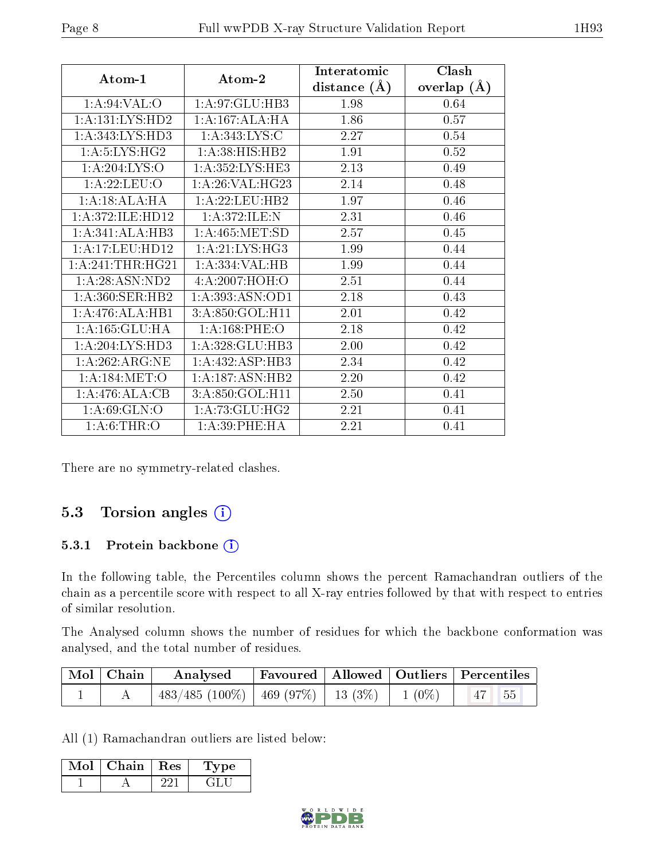|                             |                              | Interatomic    | Clash         |
|-----------------------------|------------------------------|----------------|---------------|
| Atom-1                      | Atom-2                       | distance $(A)$ | overlap $(A)$ |
| $1: A:94:VAL:$ <sup>O</sup> | 1:A:97:GLU:HB3               | 1.98           | 0.64          |
| 1:A:131:LYS:HD2             | 1:A:167:ALA:HA               | 1.86           | 0.57          |
| 1:A:343:LYS:HD3             | 1: A:343: LYS: C             | 2.27           | 0.54          |
| 1: A: 5: LYS: HG2           | 1:A:38:HIS:HB2               | 1.91           | 0.52          |
| 1: A:204:LYS:O              | 1: A:352:LYS:HE3             | 2.13           | 0.49          |
| 1: A:22:LEU:O               | 1: A:26: VAL:HG23            | 2.14           | 0.48          |
| 1:A:18:ALA:HA               | 1:A:22:LEU:HB2               | 1.97           | 0.46          |
| 1:A:372:ILE:HD12            | 1:A:372:ILE:N                | 2.31           | 0.46          |
| 1:A:341:ALA:HB3             | 1:A:465:MET:SD               | 2.57           | 0.45          |
| 1:A:17:LEU:HD12             | 1: A:21:LYS:HG3              | 1.99           | 0.44          |
| 1:A:241:THR:HG21            | 1:A:334:VAL:HB               | 1.99           | 0.44          |
| 1: A:28: ASN:ND2            | 4: A:2007: HOH:O             | 2.51           | 0.44          |
| 1: A:360: SER: HB2          | 1:A:393:ASN:OD1              | 2.18           | 0.43          |
| 1:A:476:ALA:HB1             | 3:A:850:GOL:H11              | 2.01           | 0.42          |
| 1: A: 165: GLU: HA          | 1: A:168: PHE:O              | 2.18           | 0.42          |
| 1: A:204:LYS:HD3            | 1:A:328:GLU:HB3              | 2.00           | 0.42          |
| 1: A:262: ARG:NE            | 1:A:432:ASP:HB3              | 2.34           | 0.42          |
| 1: A:184: MET:O             | $1:A:187:AS\overline{N:HB2}$ | 2.20           | 0.42          |
| $1:A:476:ALA:\overline{CB}$ | 3:A:850:GOL:H11              | 2.50           | 0.41          |
| 1: A:69: GLN:O              | 1: A: 73: GLU: HG2           | 2.21           | 0.41          |
| 1: A:6:THR:O                | 1: A:39: PHE: HA             | 2.21           | 0.41          |

There are no symmetry-related clashes.

### 5.3 Torsion angles  $(i)$

#### 5.3.1 Protein backbone (i)

In the following table, the Percentiles column shows the percent Ramachandran outliers of the chain as a percentile score with respect to all X-ray entries followed by that with respect to entries of similar resolution.

The Analysed column shows the number of residues for which the backbone conformation was analysed, and the total number of residues.

| Mol   Chain | $\boldsymbol{\mathrm{Analysed}}$                          |  | Favoured   Allowed   Outliers   Percentiles |
|-------------|-----------------------------------------------------------|--|---------------------------------------------|
|             | $483/485 (100\%)$   $469 (97\%)$   $13 (3\%)$   $1 (0\%)$ |  | $\vert$ 47 55                               |

All (1) Ramachandran outliers are listed below:

| Mol | Chain | Res | vpe |
|-----|-------|-----|-----|
|     |       |     |     |

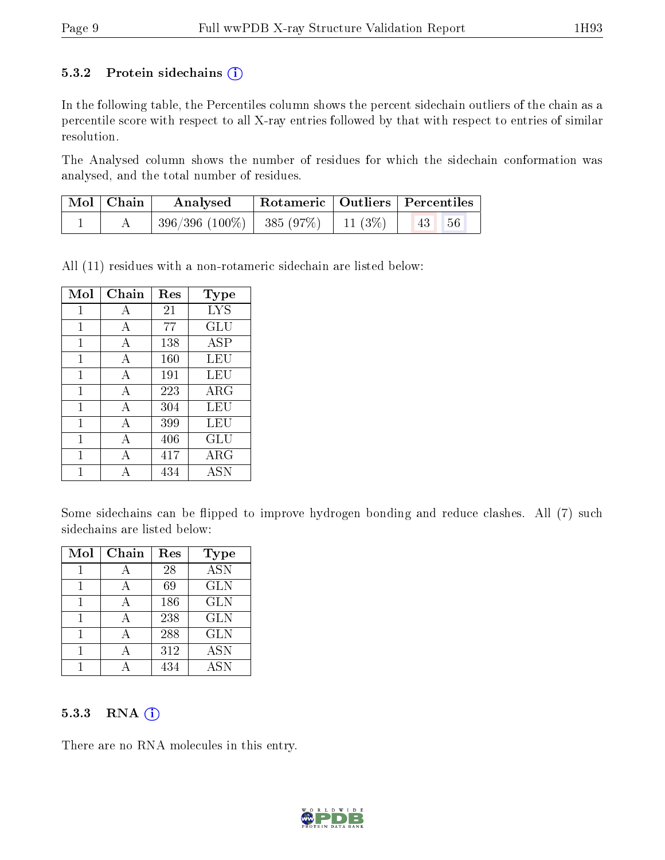#### 5.3.2 Protein sidechains  $(i)$

In the following table, the Percentiles column shows the percent sidechain outliers of the chain as a percentile score with respect to all X-ray entries followed by that with respect to entries of similar resolution.

The Analysed column shows the number of residues for which the sidechain conformation was analysed, and the total number of residues.

| $\mid$ Mol $\mid$ Chain | Analysed                                  | Rotameric   Outliers   Percentiles |                                 |  |
|-------------------------|-------------------------------------------|------------------------------------|---------------------------------|--|
|                         | $396/396 (100\%)$   385 (97\%)   11 (3\%) |                                    | $\vert 43 \vert \vert 56 \vert$ |  |

All (11) residues with a non-rotameric sidechain are listed below:

| Mol          | $Chain$ | Res | Type       |
|--------------|---------|-----|------------|
| $\mathbf{1}$ | А       | 21  | <b>LYS</b> |
| $\mathbf{1}$ | A       | 77  | GLU        |
| 1            | А       | 138 | ASP        |
| 1            | А       | 160 | LEU        |
| 1            | A       | 191 | LEU        |
| 1            | А       | 223 | $\rm{ARG}$ |
| 1            | A       | 304 | LEU        |
| 1            | А       | 399 | LEU        |
| 1            | A       | 406 | GLU        |
| 1            | А       | 417 | ARG        |
|              | Δ       | 434 | <b>ASN</b> |

Some sidechains can be flipped to improve hydrogen bonding and reduce clashes. All (7) such sidechains are listed below:

| Mol | Chain | Res | Type       |
|-----|-------|-----|------------|
|     |       | 28  | <b>ASN</b> |
|     |       | 69  | <b>GLN</b> |
|     |       | 186 | <b>GLN</b> |
|     |       | 238 | <b>GLN</b> |
|     |       | 288 | <b>GLN</b> |
|     |       | 312 | <b>ASN</b> |
|     |       | 434 | ASN        |

#### 5.3.3 RNA (i)

There are no RNA molecules in this entry.

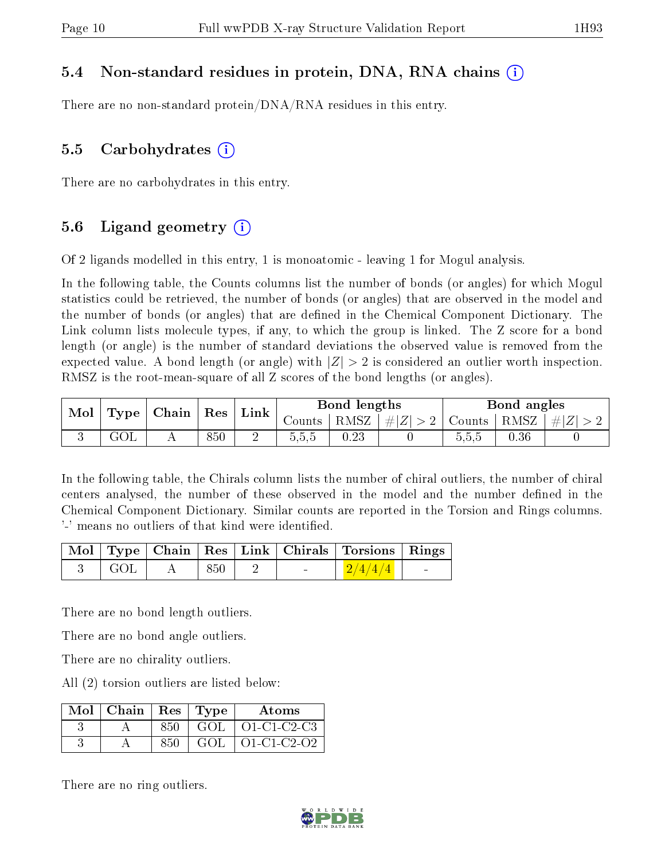#### 5.4 Non-standard residues in protein, DNA, RNA chains (i)

There are no non-standard protein/DNA/RNA residues in this entry.

#### 5.5 Carbohydrates (i)

There are no carbohydrates in this entry.

#### 5.6 Ligand geometry (i)

Of 2 ligands modelled in this entry, 1 is monoatomic - leaving 1 for Mogul analysis.

In the following table, the Counts columns list the number of bonds (or angles) for which Mogul statistics could be retrieved, the number of bonds (or angles) that are observed in the model and the number of bonds (or angles) that are dened in the Chemical Component Dictionary. The Link column lists molecule types, if any, to which the group is linked. The Z score for a bond length (or angle) is the number of standard deviations the observed value is removed from the expected value. A bond length (or angle) with  $|Z| > 2$  is considered an outlier worth inspection. RMSZ is the root-mean-square of all Z scores of the bond lengths (or angles).

| Mol |           | $\perp$ Type $\mid$ Chain $\mid$ Res |     | $\pm$ Link |                    | Bond lengths |             |                | Bond angles    |  |
|-----|-----------|--------------------------------------|-----|------------|--------------------|--------------|-------------|----------------|----------------|--|
|     |           |                                      |     |            | RMSZ  <br>Jounts ' |              | $\# Z  > 2$ | Counts         | RMSZ   $\# Z $ |  |
|     | $\rm GOL$ |                                      | 850 | ↩          | ხ.ხ.ხ              | 0.23         |             | - - -<br>5.5.5 | 0.36           |  |

In the following table, the Chirals column lists the number of chiral outliers, the number of chiral centers analysed, the number of these observed in the model and the number defined in the Chemical Component Dictionary. Similar counts are reported in the Torsion and Rings columns. '-' means no outliers of that kind were identified.

|       |                   |                          | Mol   Type   Chain   Res   Link   Chirals   Torsions   Rings |  |
|-------|-------------------|--------------------------|--------------------------------------------------------------|--|
| ∣ GOL | $\vert 850 \vert$ | <b>Contract Contract</b> | $1\sqrt{2/4/4/4}$                                            |  |

There are no bond length outliers.

There are no bond angle outliers.

There are no chirality outliers.

All (2) torsion outliers are listed below:

| Mol   Chain   Res $\vert$ |     | Type | Atoms         |
|---------------------------|-----|------|---------------|
|                           | 850 | GOL  | O1-C1-C2-C3   |
|                           | 850 | GOL  | $O1-C1-C2-O2$ |

There are no ring outliers.

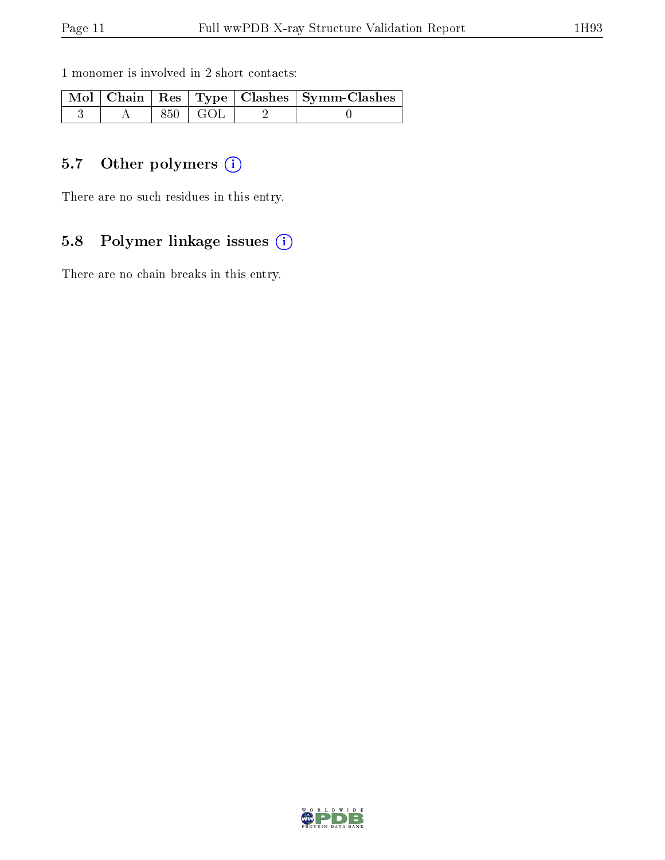1 monomer is involved in 2 short contacts:

|  |           | Mol   Chain   Res   Type   Clashes   Symm-Clashes |
|--|-----------|---------------------------------------------------|
|  | 850   GOL |                                                   |

## 5.7 [O](https://www.wwpdb.org/validation/2017/XrayValidationReportHelp#nonstandard_residues_and_ligands)ther polymers (i)

There are no such residues in this entry.

### 5.8 Polymer linkage issues (i)

There are no chain breaks in this entry.

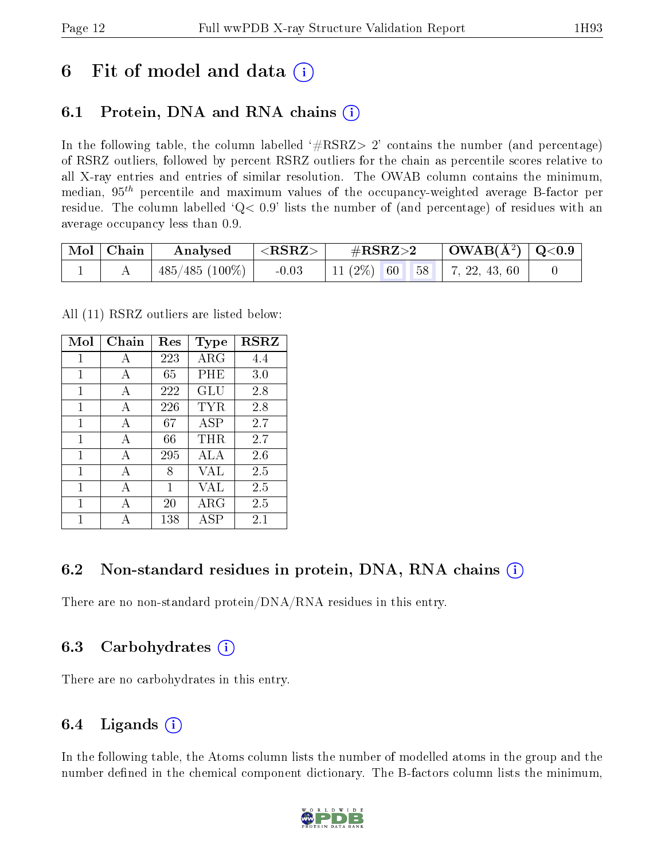## 6 Fit of model and data  $\left( \cdot \right)$

### 6.1 Protein, DNA and RNA chains (i)

In the following table, the column labelled  $#RSRZ>2'$  contains the number (and percentage) of RSRZ outliers, followed by percent RSRZ outliers for the chain as percentile scores relative to all X-ray entries and entries of similar resolution. The OWAB column contains the minimum, median,  $95<sup>th</sup>$  percentile and maximum values of the occupancy-weighted average B-factor per residue. The column labelled  $Q< 0.9$  lists the number of (and percentage) of residues with an average occupancy less than 0.9.

| Mol   Chain | Analysed       | $^{\prime}$ <rsrz></rsrz> | $\#\text{RSRZ}{>}2$ |  | $\vert$ OWAB( $\rm \AA^2)$ $\vert$ Q<0.9 $\vert$ |                                      |  |
|-------------|----------------|---------------------------|---------------------|--|--------------------------------------------------|--------------------------------------|--|
|             | 485/485 (100%) | $-0.03$                   |                     |  |                                                  | 11 (2\%)   60   58     7, 22, 43, 60 |  |

All (11) RSRZ outliers are listed below:

| Mol | Chain        | Res | Type        | <b>RSRZ</b> |
|-----|--------------|-----|-------------|-------------|
| 1   | А            | 223 | $\rm{ARG}$  | 4.4         |
| 1   | A            | 65  | PHE         | 3.0         |
| 1   | A            | 222 | <b>GLU</b>  | 2.8         |
| 1   | A            | 226 | TYR         | 2.8         |
| 1   | A            | 67  | $\rm{ASP}$  | 2.7         |
| 1   | A            | 66  | THR.        | 2.7         |
| 1   | $\mathbf{A}$ | 295 | ALA         | 2.6         |
| 1   | A            | 8   | VAL         | 2.5         |
| 1   | А            | 1   | VAL         | 2.5         |
| 1   | A            | 20  | ${\rm ARG}$ | 2.5         |
|     |              | 138 | ASP         | 2.1         |

### 6.2 Non-standard residues in protein, DNA, RNA chains (i)

There are no non-standard protein/DNA/RNA residues in this entry.

#### 6.3 Carbohydrates (i)

There are no carbohydrates in this entry.

### 6.4 Ligands  $(i)$

In the following table, the Atoms column lists the number of modelled atoms in the group and the number defined in the chemical component dictionary. The B-factors column lists the minimum,